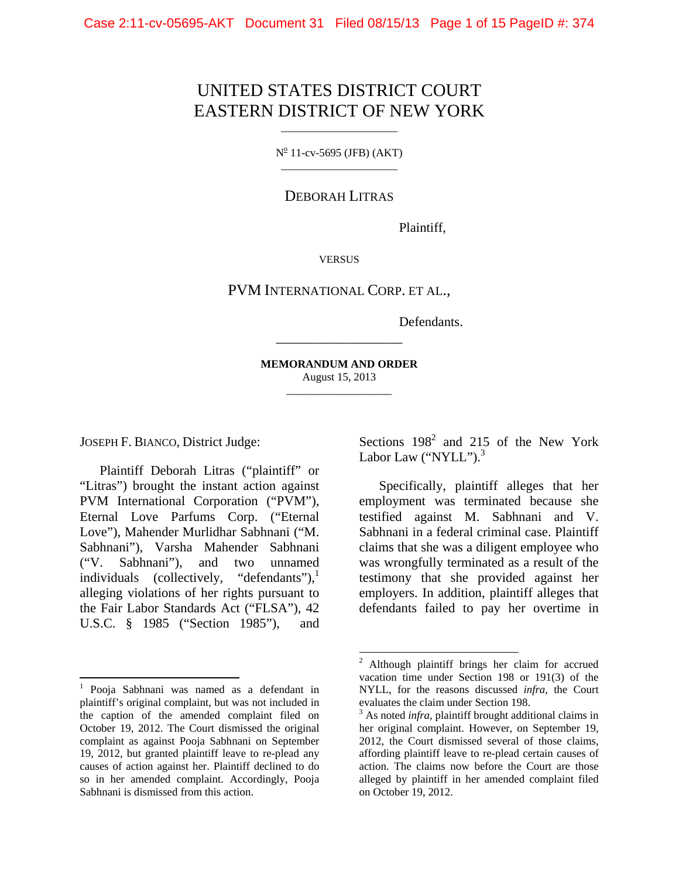# UNITED STATES DISTRICT COURT EASTERN DISTRICT OF NEW YORK

 $N^{\circ}$  11-cv-5695 (JFB) (AKT) \_\_\_\_\_\_\_\_\_\_\_\_\_\_\_\_\_\_\_\_\_

DEBORAH LITRAS

Plaintiff,

**VERSUS** 

PVM INTERNATIONAL CORP. ET AL.,

Defendants.

**MEMORANDUM AND ORDER**  August 15, 2013 \_\_\_\_\_\_\_\_\_\_\_\_\_\_\_\_\_\_\_

l

\_\_\_\_\_\_\_\_\_\_\_\_\_\_\_\_\_\_\_

JOSEPH F. BIANCO, District Judge:

Plaintiff Deborah Litras ("plaintiff" or "Litras") brought the instant action against PVM International Corporation ("PVM"), Eternal Love Parfums Corp. ("Eternal Love"), Mahender Murlidhar Sabhnani ("M. Sabhnani"), Varsha Mahender Sabhnani ("V. Sabhnani"), and two unnamed individuals (collectively, "defendants"), $\frac{1}{1}$ alleging violations of her rights pursuant to the Fair Labor Standards Act ("FLSA"), 42 U.S.C. § 1985 ("Section 1985"), and

l

Sections  $198^2$  and  $215$  of the New York Labor Law ("NYLL"). $3$ 

Specifically, plaintiff alleges that her employment was terminated because she testified against M. Sabhnani and V. Sabhnani in a federal criminal case. Plaintiff claims that she was a diligent employee who was wrongfully terminated as a result of the testimony that she provided against her employers. In addition, plaintiff alleges that defendants failed to pay her overtime in

<sup>1</sup> Pooja Sabhnani was named as a defendant in plaintiff's original complaint, but was not included in the caption of the amended complaint filed on October 19, 2012. The Court dismissed the original complaint as against Pooja Sabhnani on September 19, 2012, but granted plaintiff leave to re-plead any causes of action against her. Plaintiff declined to do so in her amended complaint. Accordingly, Pooja Sabhnani is dismissed from this action.

<sup>2</sup> Although plaintiff brings her claim for accrued vacation time under Section 198 or 191(3) of the NYLL, for the reasons discussed *infra*, the Court evaluates the claim under Section 198.

<sup>&</sup>lt;sup>3</sup> As noted *infra*, plaintiff brought additional claims in her original complaint. However, on September 19, 2012, the Court dismissed several of those claims, affording plaintiff leave to re-plead certain causes of action. The claims now before the Court are those alleged by plaintiff in her amended complaint filed on October 19, 2012.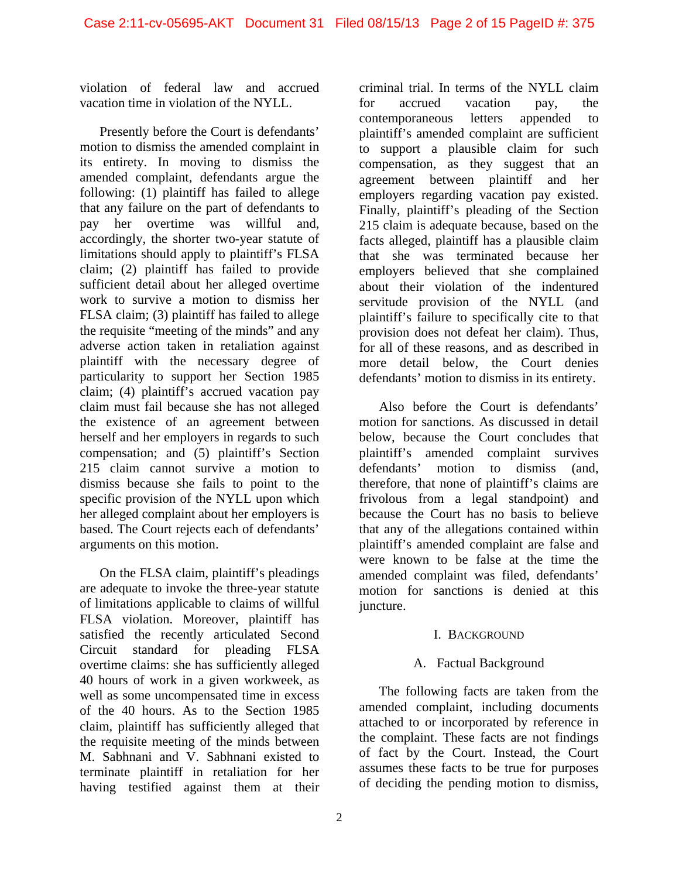violation of federal law and accrued vacation time in violation of the NYLL.

Presently before the Court is defendants' motion to dismiss the amended complaint in its entirety. In moving to dismiss the amended complaint, defendants argue the following: (1) plaintiff has failed to allege that any failure on the part of defendants to pay her overtime was willful and, accordingly, the shorter two-year statute of limitations should apply to plaintiff's FLSA claim; (2) plaintiff has failed to provide sufficient detail about her alleged overtime work to survive a motion to dismiss her FLSA claim; (3) plaintiff has failed to allege the requisite "meeting of the minds" and any adverse action taken in retaliation against plaintiff with the necessary degree of particularity to support her Section 1985 claim; (4) plaintiff's accrued vacation pay claim must fail because she has not alleged the existence of an agreement between herself and her employers in regards to such compensation; and (5) plaintiff's Section 215 claim cannot survive a motion to dismiss because she fails to point to the specific provision of the NYLL upon which her alleged complaint about her employers is based. The Court rejects each of defendants' arguments on this motion.

On the FLSA claim, plaintiff's pleadings are adequate to invoke the three-year statute of limitations applicable to claims of willful FLSA violation. Moreover, plaintiff has satisfied the recently articulated Second Circuit standard for pleading FLSA overtime claims: she has sufficiently alleged 40 hours of work in a given workweek, as well as some uncompensated time in excess of the 40 hours. As to the Section 1985 claim, plaintiff has sufficiently alleged that the requisite meeting of the minds between M. Sabhnani and V. Sabhnani existed to terminate plaintiff in retaliation for her having testified against them at their

criminal trial. In terms of the NYLL claim for accrued vacation pay, the contemporaneous letters appended to plaintiff's amended complaint are sufficient to support a plausible claim for such compensation, as they suggest that an agreement between plaintiff and her employers regarding vacation pay existed. Finally, plaintiff's pleading of the Section 215 claim is adequate because, based on the facts alleged, plaintiff has a plausible claim that she was terminated because her employers believed that she complained about their violation of the indentured servitude provision of the NYLL (and plaintiff's failure to specifically cite to that provision does not defeat her claim). Thus, for all of these reasons, and as described in more detail below, the Court denies defendants' motion to dismiss in its entirety.

Also before the Court is defendants' motion for sanctions. As discussed in detail below, because the Court concludes that plaintiff's amended complaint survives defendants' motion to dismiss (and, therefore, that none of plaintiff's claims are frivolous from a legal standpoint) and because the Court has no basis to believe that any of the allegations contained within plaintiff's amended complaint are false and were known to be false at the time the amended complaint was filed, defendants' motion for sanctions is denied at this juncture.

# I. BACKGROUND

# A. Factual Background

The following facts are taken from the amended complaint, including documents attached to or incorporated by reference in the complaint. These facts are not findings of fact by the Court. Instead, the Court assumes these facts to be true for purposes of deciding the pending motion to dismiss,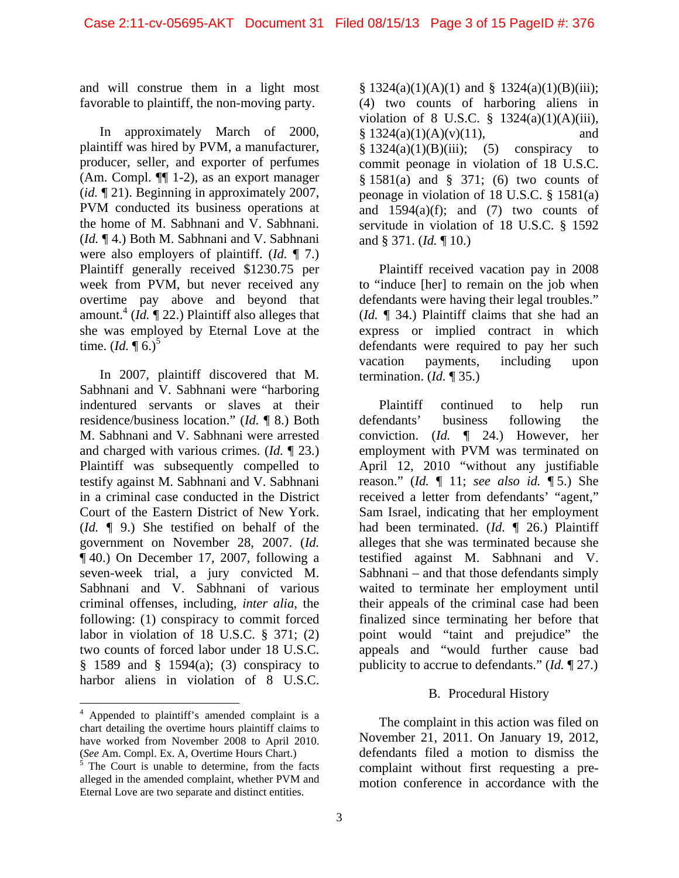and will construe them in a light most favorable to plaintiff, the non-moving party.

In approximately March of 2000, plaintiff was hired by PVM, a manufacturer, producer, seller, and exporter of perfumes (Am. Compl. ¶¶ 1-2), as an export manager (*id.* ¶ 21). Beginning in approximately 2007, PVM conducted its business operations at the home of M. Sabhnani and V. Sabhnani. (*Id.* ¶ 4.) Both M. Sabhnani and V. Sabhnani were also employers of plaintiff. (*Id.* ¶ 7.) Plaintiff generally received \$1230.75 per week from PVM, but never received any overtime pay above and beyond that amount.<sup>4</sup> ( $Id$ .  $\P$  22.) Plaintiff also alleges that she was employed by Eternal Love at the time.  $(Id. \P 6.)^5$ 

In 2007, plaintiff discovered that M. Sabhnani and V. Sabhnani were "harboring indentured servants or slaves at their residence/business location." (*Id.* ¶ 8.) Both M. Sabhnani and V. Sabhnani were arrested and charged with various crimes. (*Id.* ¶ 23.) Plaintiff was subsequently compelled to testify against M. Sabhnani and V. Sabhnani in a criminal case conducted in the District Court of the Eastern District of New York. (*Id.* ¶ 9.) She testified on behalf of the government on November 28, 2007. (*Id.* ¶ 40.) On December 17, 2007, following a seven-week trial, a jury convicted M. Sabhnani and V. Sabhnani of various criminal offenses, including, *inter alia*, the following: (1) conspiracy to commit forced labor in violation of 18 U.S.C. § 371; (2) two counts of forced labor under 18 U.S.C.  $§$  1589 and  $§$  1594(a); (3) conspiracy to harbor aliens in violation of 8 U.S.C.

l

 $§ 1324(a)(1)(A)(1)$  and  $§ 1324(a)(1)(B)(iii);$ (4) two counts of harboring aliens in violation of 8 U.S.C.  $\frac{8}{9}$  1324(a)(1)(A)(iii),  $§ 1324(a)(1)(A)(v)(11),$  and  $§ 1324(a)(1)(B)(iii);$  (5) conspiracy to commit peonage in violation of 18 U.S.C. § 1581(a) and § 371; (6) two counts of peonage in violation of 18 U.S.C. § 1581(a) and  $1594(a)(f)$ ; and  $(7)$  two counts of servitude in violation of 18 U.S.C. § 1592 and § 371. (*Id.* ¶ 10.)

Plaintiff received vacation pay in 2008 to "induce [her] to remain on the job when defendants were having their legal troubles." (*Id.* ¶ 34.) Plaintiff claims that she had an express or implied contract in which defendants were required to pay her such vacation payments, including upon termination. (*Id.* ¶ 35.)

Plaintiff continued to help run defendants' business following the conviction. (*Id.* ¶ 24.) However, her employment with PVM was terminated on April 12, 2010 "without any justifiable reason." (*Id.* ¶ 11; *see also id.* ¶ 5.) She received a letter from defendants' "agent," Sam Israel, indicating that her employment had been terminated. (*Id.* ¶ 26.) Plaintiff alleges that she was terminated because she testified against M. Sabhnani and V. Sabhnani – and that those defendants simply waited to terminate her employment until their appeals of the criminal case had been finalized since terminating her before that point would "taint and prejudice" the appeals and "would further cause bad publicity to accrue to defendants." (*Id.* ¶ 27.)

# B. Procedural History

The complaint in this action was filed on November 21, 2011. On January 19, 2012, defendants filed a motion to dismiss the complaint without first requesting a premotion conference in accordance with the

<sup>&</sup>lt;sup>4</sup> Appended to plaintiff's amended complaint is a chart detailing the overtime hours plaintiff claims to have worked from November 2008 to April 2010.

<sup>(</sup>*See* Am. Compl. Ex. A, Overtime Hours Chart.)<br><sup>5</sup> The Court is unable to determine, from the facts alleged in the amended complaint, whether PVM and Eternal Love are two separate and distinct entities.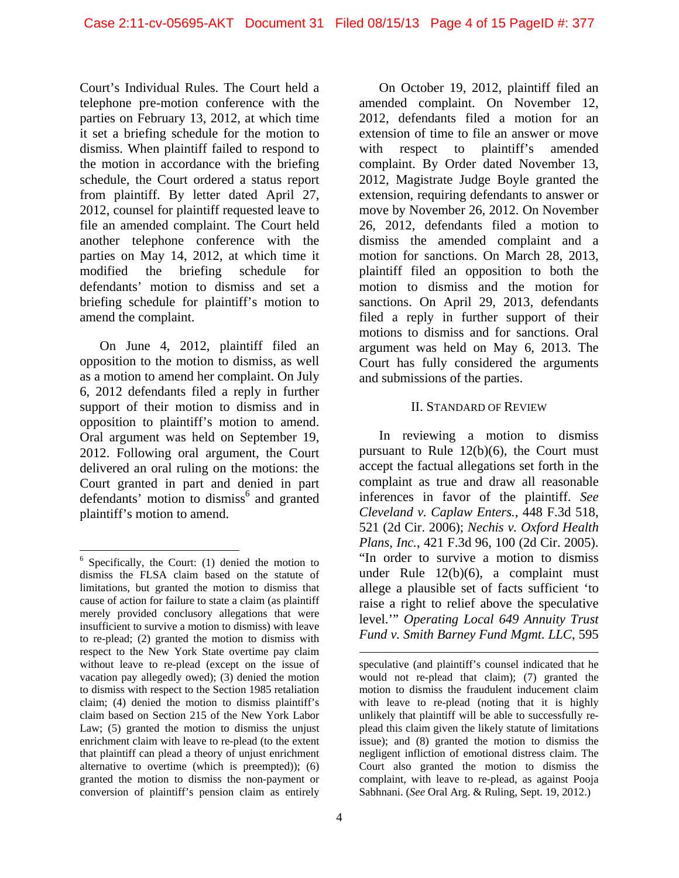Court's Individual Rules. The Court held a telephone pre-motion conference with the parties on February 13, 2012, at which time it set a briefing schedule for the motion to dismiss. When plaintiff failed to respond to the motion in accordance with the briefing schedule, the Court ordered a status report from plaintiff. By letter dated April 27, 2012, counsel for plaintiff requested leave to file an amended complaint. The Court held another telephone conference with the parties on May 14, 2012, at which time it modified the briefing schedule for defendants' motion to dismiss and set a briefing schedule for plaintiff's motion to amend the complaint.

On June 4, 2012, plaintiff filed an opposition to the motion to dismiss, as well as a motion to amend her complaint. On July 6, 2012 defendants filed a reply in further support of their motion to dismiss and in opposition to plaintiff's motion to amend. Oral argument was held on September 19, 2012. Following oral argument, the Court delivered an oral ruling on the motions: the Court granted in part and denied in part defendants' motion to dismiss<sup>6</sup> and granted plaintiff's motion to amend.

l

On October 19, 2012, plaintiff filed an amended complaint. On November 12, 2012, defendants filed a motion for an extension of time to file an answer or move with respect to plaintiff's amended complaint. By Order dated November 13, 2012, Magistrate Judge Boyle granted the extension, requiring defendants to answer or move by November 26, 2012. On November 26, 2012, defendants filed a motion to dismiss the amended complaint and a motion for sanctions. On March 28, 2013, plaintiff filed an opposition to both the motion to dismiss and the motion for sanctions. On April 29, 2013, defendants filed a reply in further support of their motions to dismiss and for sanctions. Oral argument was held on May 6, 2013. The Court has fully considered the arguments and submissions of the parties.

#### II. STANDARD OF REVIEW

In reviewing a motion to dismiss pursuant to Rule 12(b)(6), the Court must accept the factual allegations set forth in the complaint as true and draw all reasonable inferences in favor of the plaintiff. *See Cleveland v. Caplaw Enters.*, 448 F.3d 518, 521 (2d Cir. 2006); *Nechis v. Oxford Health Plans, Inc.*, 421 F.3d 96, 100 (2d Cir. 2005). "In order to survive a motion to dismiss under Rule 12(b)(6), a complaint must allege a plausible set of facts sufficient 'to raise a right to relief above the speculative level.'" *Operating Local 649 Annuity Trust Fund v. Smith Barney Fund Mgmt. LLC*, 595

<sup>&</sup>lt;sup>6</sup> Specifically, the Court: (1) denied the motion to dismiss the FLSA claim based on the statute of limitations, but granted the motion to dismiss that cause of action for failure to state a claim (as plaintiff merely provided conclusory allegations that were insufficient to survive a motion to dismiss) with leave to re-plead; (2) granted the motion to dismiss with respect to the New York State overtime pay claim without leave to re-plead (except on the issue of vacation pay allegedly owed); (3) denied the motion to dismiss with respect to the Section 1985 retaliation claim; (4) denied the motion to dismiss plaintiff's claim based on Section 215 of the New York Labor Law; (5) granted the motion to dismiss the unjust enrichment claim with leave to re-plead (to the extent that plaintiff can plead a theory of unjust enrichment alternative to overtime (which is preempted)); (6) granted the motion to dismiss the non-payment or conversion of plaintiff's pension claim as entirely

speculative (and plaintiff's counsel indicated that he would not re-plead that claim); (7) granted the motion to dismiss the fraudulent inducement claim with leave to re-plead (noting that it is highly unlikely that plaintiff will be able to successfully replead this claim given the likely statute of limitations issue); and (8) granted the motion to dismiss the negligent infliction of emotional distress claim. The Court also granted the motion to dismiss the complaint, with leave to re-plead, as against Pooja Sabhnani. (*See* Oral Arg. & Ruling, Sept. 19, 2012.)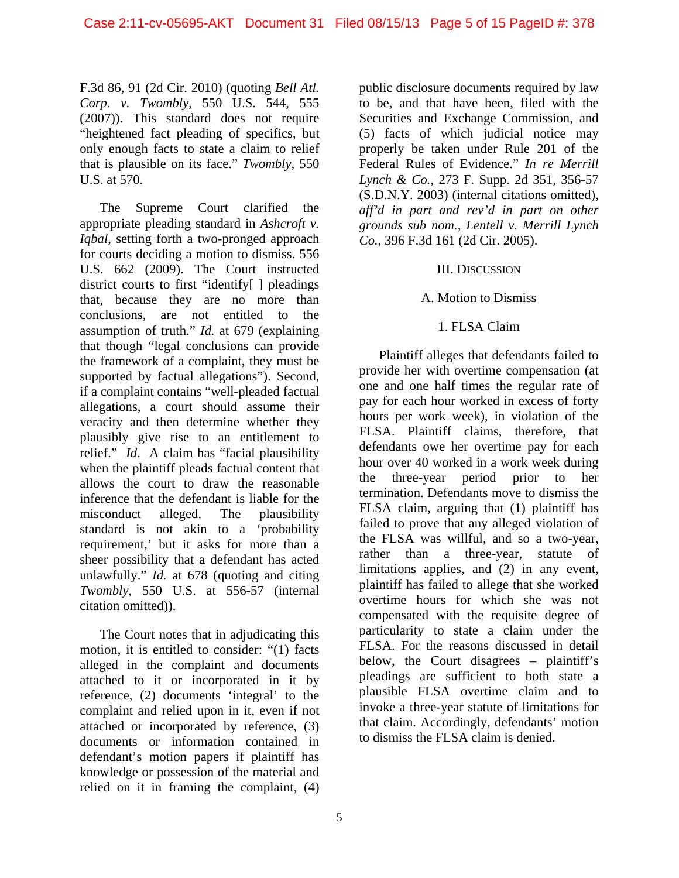F.3d 86, 91 (2d Cir. 2010) (quoting *Bell Atl. Corp. v. Twombly*, 550 U.S. 544, 555 (2007)). This standard does not require "heightened fact pleading of specifics, but only enough facts to state a claim to relief that is plausible on its face." *Twombly*, 550 U.S. at 570.

The Supreme Court clarified the appropriate pleading standard in *Ashcroft v. Iqbal*, setting forth a two-pronged approach for courts deciding a motion to dismiss. 556 U.S. 662 (2009). The Court instructed district courts to first "identify[ ] pleadings that, because they are no more than conclusions, are not entitled to the assumption of truth." *Id.* at 679 (explaining that though "legal conclusions can provide the framework of a complaint, they must be supported by factual allegations"). Second, if a complaint contains "well-pleaded factual allegations, a court should assume their veracity and then determine whether they plausibly give rise to an entitlement to relief." *Id*. A claim has "facial plausibility when the plaintiff pleads factual content that allows the court to draw the reasonable inference that the defendant is liable for the misconduct alleged. The plausibility standard is not akin to a 'probability requirement,' but it asks for more than a sheer possibility that a defendant has acted unlawfully." *Id.* at 678 (quoting and citing *Twombly*, 550 U.S. at 556-57 (internal citation omitted)).

The Court notes that in adjudicating this motion, it is entitled to consider: "(1) facts alleged in the complaint and documents attached to it or incorporated in it by reference, (2) documents 'integral' to the complaint and relied upon in it, even if not attached or incorporated by reference, (3) documents or information contained in defendant's motion papers if plaintiff has knowledge or possession of the material and relied on it in framing the complaint, (4)

public disclosure documents required by law to be, and that have been, filed with the Securities and Exchange Commission, and (5) facts of which judicial notice may properly be taken under Rule 201 of the Federal Rules of Evidence." *In re Merrill Lynch & Co.*, 273 F. Supp. 2d 351, 356-57 (S.D.N.Y. 2003) (internal citations omitted), *aff'd in part and rev'd in part on other grounds sub nom.*, *Lentell v. Merrill Lynch Co.*, 396 F.3d 161 (2d Cir. 2005).

#### III. DISCUSSION

#### A. Motion to Dismiss

#### 1. FLSA Claim

Plaintiff alleges that defendants failed to provide her with overtime compensation (at one and one half times the regular rate of pay for each hour worked in excess of forty hours per work week), in violation of the FLSA. Plaintiff claims, therefore, that defendants owe her overtime pay for each hour over 40 worked in a work week during the three-year period prior to her termination. Defendants move to dismiss the FLSA claim, arguing that (1) plaintiff has failed to prove that any alleged violation of the FLSA was willful, and so a two-year, rather than a three-year, statute of limitations applies, and (2) in any event, plaintiff has failed to allege that she worked overtime hours for which she was not compensated with the requisite degree of particularity to state a claim under the FLSA. For the reasons discussed in detail below, the Court disagrees – plaintiff's pleadings are sufficient to both state a plausible FLSA overtime claim and to invoke a three-year statute of limitations for that claim. Accordingly, defendants' motion to dismiss the FLSA claim is denied.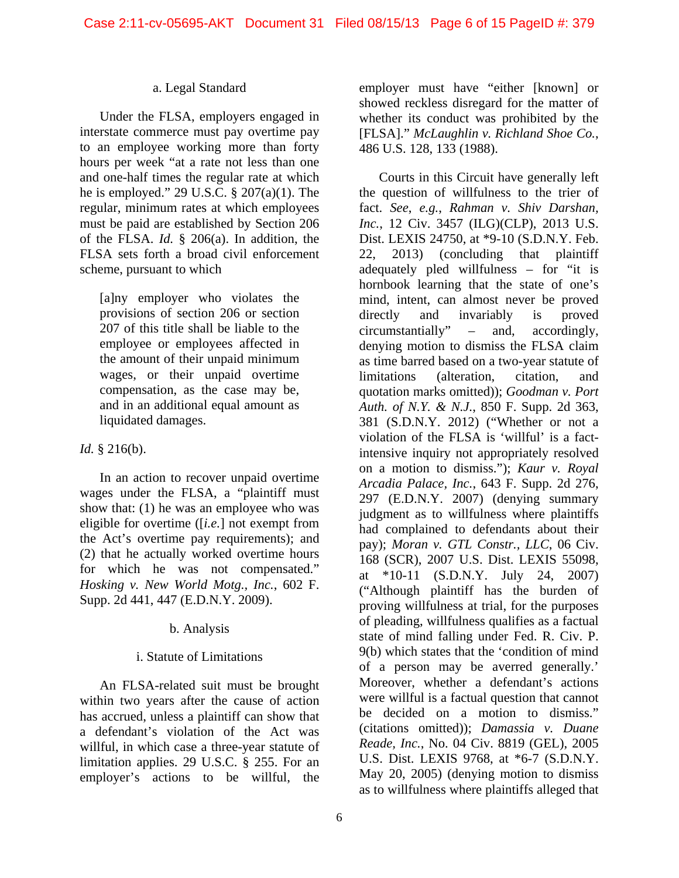#### a. Legal Standard

Under the FLSA, employers engaged in interstate commerce must pay overtime pay to an employee working more than forty hours per week "at a rate not less than one and one-half times the regular rate at which he is employed." 29 U.S.C. § 207(a)(1). The regular, minimum rates at which employees must be paid are established by Section 206 of the FLSA. *Id.* § 206(a). In addition, the FLSA sets forth a broad civil enforcement scheme, pursuant to which

[a]ny employer who violates the provisions of section 206 or section 207 of this title shall be liable to the employee or employees affected in the amount of their unpaid minimum wages, or their unpaid overtime compensation, as the case may be, and in an additional equal amount as liquidated damages.

# *Id.* § 216(b).

In an action to recover unpaid overtime wages under the FLSA, a "plaintiff must show that: (1) he was an employee who was eligible for overtime ([*i.e.*] not exempt from the Act's overtime pay requirements); and (2) that he actually worked overtime hours for which he was not compensated." *Hosking v. New World Motg., Inc.*, 602 F. Supp. 2d 441, 447 (E.D.N.Y. 2009).

# b. Analysis

# i. Statute of Limitations

An FLSA-related suit must be brought within two years after the cause of action has accrued, unless a plaintiff can show that a defendant's violation of the Act was willful, in which case a three-year statute of limitation applies. 29 U.S.C. § 255. For an employer's actions to be willful, the employer must have "either [known] or showed reckless disregard for the matter of whether its conduct was prohibited by the [FLSA]." *McLaughlin v. Richland Shoe Co.*, 486 U.S. 128, 133 (1988).

Courts in this Circuit have generally left the question of willfulness to the trier of fact. *See*, *e.g.*, *Rahman v. Shiv Darshan, Inc.*, 12 Civ. 3457 (ILG)(CLP), 2013 U.S. Dist. LEXIS 24750, at \*9-10 (S.D.N.Y. Feb. 22, 2013) (concluding that plaintiff adequately pled willfulness – for "it is hornbook learning that the state of one's mind, intent, can almost never be proved directly and invariably is proved circumstantially" – and, accordingly, denying motion to dismiss the FLSA claim as time barred based on a two-year statute of limitations (alteration, citation, and quotation marks omitted)); *Goodman v. Port Auth. of N.Y. & N.J.*, 850 F. Supp. 2d 363, 381 (S.D.N.Y. 2012) ("Whether or not a violation of the FLSA is 'willful' is a factintensive inquiry not appropriately resolved on a motion to dismiss."); *Kaur v. Royal Arcadia Palace, Inc.*, 643 F. Supp. 2d 276, 297 (E.D.N.Y. 2007) (denying summary judgment as to willfulness where plaintiffs had complained to defendants about their pay); *Moran v. GTL Constr., LLC*, 06 Civ. 168 (SCR), 2007 U.S. Dist. LEXIS 55098, at \*10-11 (S.D.N.Y. July 24, 2007) ("Although plaintiff has the burden of proving willfulness at trial, for the purposes of pleading, willfulness qualifies as a factual state of mind falling under Fed. R. Civ. P. 9(b) which states that the 'condition of mind of a person may be averred generally.' Moreover, whether a defendant's actions were willful is a factual question that cannot be decided on a motion to dismiss." (citations omitted)); *Damassia v. Duane Reade, Inc.*, No. 04 Civ. 8819 (GEL), 2005 U.S. Dist. LEXIS 9768, at \*6-7 (S.D.N.Y. May 20, 2005) (denying motion to dismiss as to willfulness where plaintiffs alleged that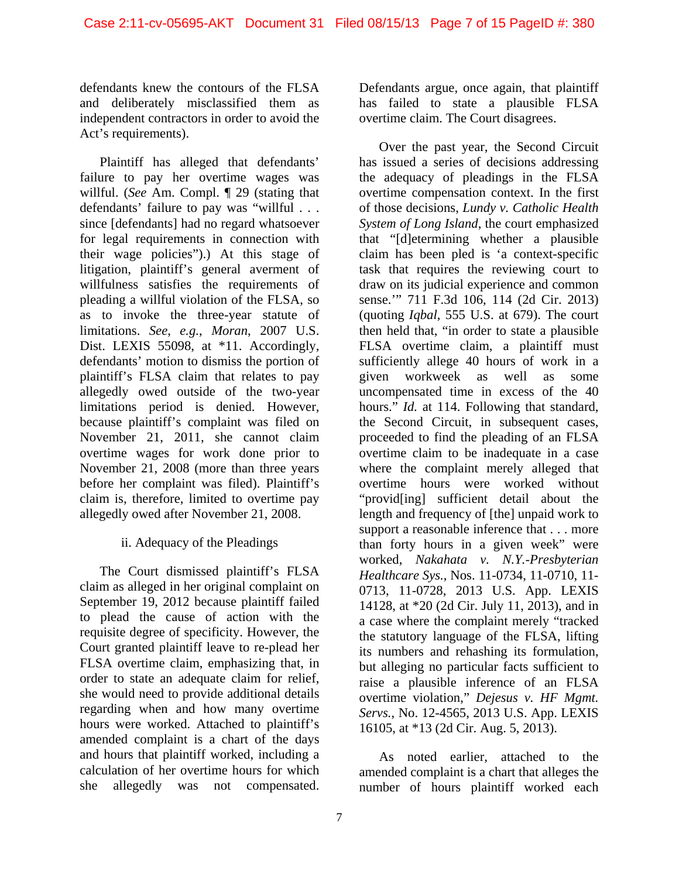defendants knew the contours of the FLSA and deliberately misclassified them as independent contractors in order to avoid the Act's requirements).

Plaintiff has alleged that defendants' failure to pay her overtime wages was willful. (*See* Am. Compl. ¶ 29 (stating that defendants' failure to pay was "willful . . . since [defendants] had no regard whatsoever for legal requirements in connection with their wage policies").) At this stage of litigation, plaintiff's general averment of willfulness satisfies the requirements of pleading a willful violation of the FLSA, so as to invoke the three-year statute of limitations. *See*, *e.g.*, *Moran*, 2007 U.S. Dist. LEXIS 55098, at \*11. Accordingly, defendants' motion to dismiss the portion of plaintiff's FLSA claim that relates to pay allegedly owed outside of the two-year limitations period is denied. However, because plaintiff's complaint was filed on November 21, 2011, she cannot claim overtime wages for work done prior to November 21, 2008 (more than three years before her complaint was filed). Plaintiff's claim is, therefore, limited to overtime pay allegedly owed after November 21, 2008.

# ii. Adequacy of the Pleadings

The Court dismissed plaintiff's FLSA claim as alleged in her original complaint on September 19, 2012 because plaintiff failed to plead the cause of action with the requisite degree of specificity. However, the Court granted plaintiff leave to re-plead her FLSA overtime claim, emphasizing that, in order to state an adequate claim for relief, she would need to provide additional details regarding when and how many overtime hours were worked. Attached to plaintiff's amended complaint is a chart of the days and hours that plaintiff worked, including a calculation of her overtime hours for which she allegedly was not compensated.

Defendants argue, once again, that plaintiff has failed to state a plausible FLSA overtime claim. The Court disagrees.

Over the past year, the Second Circuit has issued a series of decisions addressing the adequacy of pleadings in the FLSA overtime compensation context. In the first of those decisions, *Lundy v. Catholic Health System of Long Island*, the court emphasized that "[d]etermining whether a plausible claim has been pled is 'a context-specific task that requires the reviewing court to draw on its judicial experience and common sense.'" 711 F.3d 106, 114 (2d Cir. 2013) (quoting *Iqbal*, 555 U.S. at 679). The court then held that, "in order to state a plausible FLSA overtime claim, a plaintiff must sufficiently allege 40 hours of work in a given workweek as well as some uncompensated time in excess of the 40 hours." *Id.* at 114. Following that standard, the Second Circuit, in subsequent cases, proceeded to find the pleading of an FLSA overtime claim to be inadequate in a case where the complaint merely alleged that overtime hours were worked without "provid[ing] sufficient detail about the length and frequency of [the] unpaid work to support a reasonable inference that . . . more than forty hours in a given week" were worked, *Nakahata v. N.Y.-Presbyterian Healthcare Sys.*, Nos. 11-0734, 11-0710, 11- 0713, 11-0728, 2013 U.S. App. LEXIS 14128, at \*20 (2d Cir. July 11, 2013), and in a case where the complaint merely "tracked the statutory language of the FLSA, lifting its numbers and rehashing its formulation, but alleging no particular facts sufficient to raise a plausible inference of an FLSA overtime violation," *Dejesus v. HF Mgmt. Servs.*, No. 12-4565, 2013 U.S. App. LEXIS 16105, at \*13 (2d Cir. Aug. 5, 2013).

As noted earlier, attached to the amended complaint is a chart that alleges the number of hours plaintiff worked each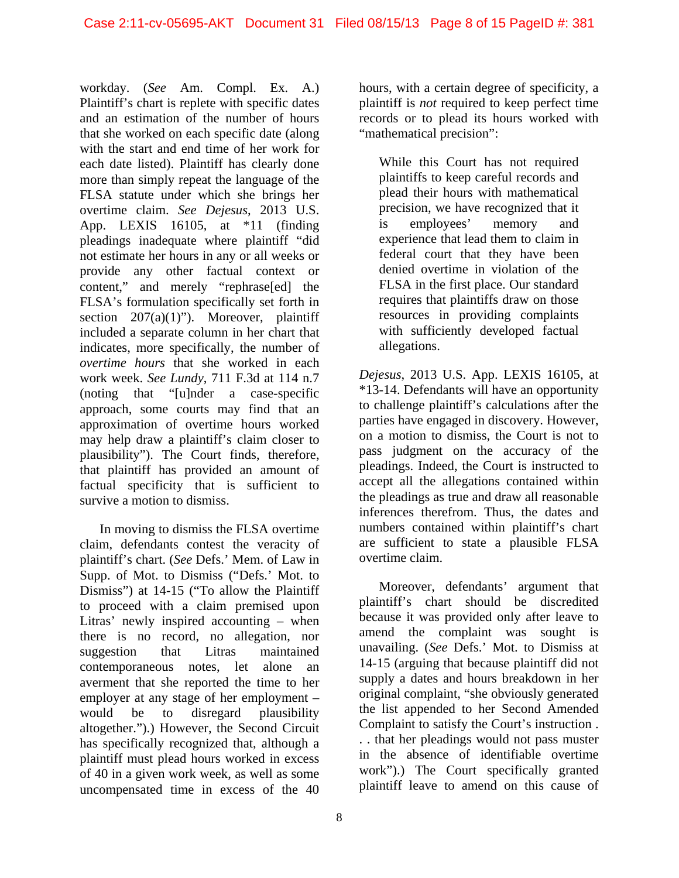workday. (*See* Am. Compl. Ex. A.) Plaintiff's chart is replete with specific dates and an estimation of the number of hours that she worked on each specific date (along with the start and end time of her work for each date listed). Plaintiff has clearly done more than simply repeat the language of the FLSA statute under which she brings her overtime claim. *See Dejesus*, 2013 U.S. App. LEXIS 16105, at \*11 (finding pleadings inadequate where plaintiff "did not estimate her hours in any or all weeks or provide any other factual context or content," and merely "rephrase[ed] the FLSA's formulation specifically set forth in section  $207(a)(1)$ "). Moreover, plaintiff included a separate column in her chart that indicates, more specifically, the number of *overtime hours* that she worked in each work week. *See Lundy*, 711 F.3d at 114 n.7 (noting that "[u]nder a case-specific approach, some courts may find that an approximation of overtime hours worked may help draw a plaintiff's claim closer to plausibility"). The Court finds, therefore, that plaintiff has provided an amount of factual specificity that is sufficient to survive a motion to dismiss.

In moving to dismiss the FLSA overtime claim, defendants contest the veracity of plaintiff's chart. (*See* Defs.' Mem. of Law in Supp. of Mot. to Dismiss ("Defs.' Mot. to Dismiss") at 14-15 ("To allow the Plaintiff to proceed with a claim premised upon Litras' newly inspired accounting – when there is no record, no allegation, nor suggestion that Litras maintained contemporaneous notes, let alone an averment that she reported the time to her employer at any stage of her employment – would be to disregard plausibility altogether.").) However, the Second Circuit has specifically recognized that, although a plaintiff must plead hours worked in excess of 40 in a given work week, as well as some uncompensated time in excess of the 40

hours, with a certain degree of specificity, a plaintiff is *not* required to keep perfect time records or to plead its hours worked with "mathematical precision":

While this Court has not required plaintiffs to keep careful records and plead their hours with mathematical precision, we have recognized that it is employees' memory and experience that lead them to claim in federal court that they have been denied overtime in violation of the FLSA in the first place. Our standard requires that plaintiffs draw on those resources in providing complaints with sufficiently developed factual allegations.

*Dejesus*, 2013 U.S. App. LEXIS 16105, at \*13-14. Defendants will have an opportunity to challenge plaintiff's calculations after the parties have engaged in discovery. However, on a motion to dismiss, the Court is not to pass judgment on the accuracy of the pleadings. Indeed, the Court is instructed to accept all the allegations contained within the pleadings as true and draw all reasonable inferences therefrom. Thus, the dates and numbers contained within plaintiff's chart are sufficient to state a plausible FLSA overtime claim.

Moreover, defendants' argument that plaintiff's chart should be discredited because it was provided only after leave to amend the complaint was sought is unavailing. (*See* Defs.' Mot. to Dismiss at 14-15 (arguing that because plaintiff did not supply a dates and hours breakdown in her original complaint, "she obviously generated the list appended to her Second Amended Complaint to satisfy the Court's instruction . . . that her pleadings would not pass muster in the absence of identifiable overtime work").) The Court specifically granted plaintiff leave to amend on this cause of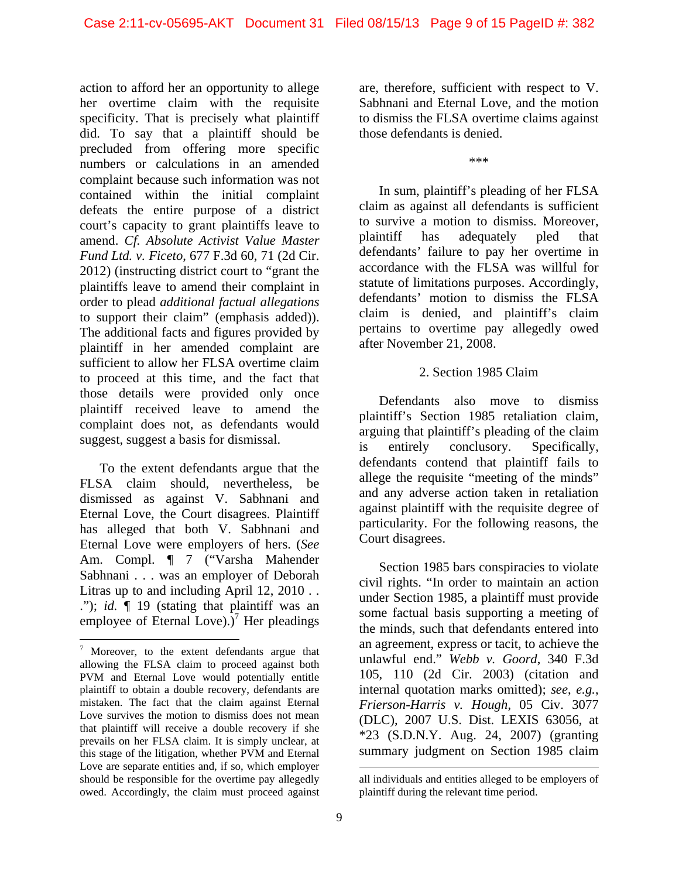action to afford her an opportunity to allege her overtime claim with the requisite specificity. That is precisely what plaintiff did. To say that a plaintiff should be precluded from offering more specific numbers or calculations in an amended complaint because such information was not contained within the initial complaint defeats the entire purpose of a district court's capacity to grant plaintiffs leave to amend. *Cf. Absolute Activist Value Master Fund Ltd. v. Ficeto*, 677 F.3d 60, 71 (2d Cir. 2012) (instructing district court to "grant the plaintiffs leave to amend their complaint in order to plead *additional factual allegations* to support their claim" (emphasis added)). The additional facts and figures provided by plaintiff in her amended complaint are sufficient to allow her FLSA overtime claim to proceed at this time, and the fact that those details were provided only once plaintiff received leave to amend the complaint does not, as defendants would suggest, suggest a basis for dismissal.

To the extent defendants argue that the FLSA claim should, nevertheless, be dismissed as against V. Sabhnani and Eternal Love, the Court disagrees. Plaintiff has alleged that both V. Sabhnani and Eternal Love were employers of hers. (*See* Am. Compl. ¶ 7 ("Varsha Mahender Sabhnani . . . was an employer of Deborah Litras up to and including April 12, 2010 . . ."); *id.* ¶ 19 (stating that plaintiff was an employee of Eternal Love). $\overline{C}$ <sup>7</sup> Her pleadings

l

are, therefore, sufficient with respect to V. Sabhnani and Eternal Love, and the motion to dismiss the FLSA overtime claims against those defendants is denied.

\*\*\*

In sum, plaintiff's pleading of her FLSA claim as against all defendants is sufficient to survive a motion to dismiss. Moreover, plaintiff has adequately pled that defendants' failure to pay her overtime in accordance with the FLSA was willful for statute of limitations purposes. Accordingly, defendants' motion to dismiss the FLSA claim is denied, and plaintiff's claim pertains to overtime pay allegedly owed after November 21, 2008.

#### 2. Section 1985 Claim

Defendants also move to dismiss plaintiff's Section 1985 retaliation claim, arguing that plaintiff's pleading of the claim is entirely conclusory. Specifically, defendants contend that plaintiff fails to allege the requisite "meeting of the minds" and any adverse action taken in retaliation against plaintiff with the requisite degree of particularity. For the following reasons, the Court disagrees.

Section 1985 bars conspiracies to violate civil rights. "In order to maintain an action under Section 1985, a plaintiff must provide some factual basis supporting a meeting of the minds, such that defendants entered into an agreement, express or tacit, to achieve the unlawful end." *Webb v. Goord*, 340 F.3d 105, 110 (2d Cir. 2003) (citation and internal quotation marks omitted); *see*, *e.g.*, *Frierson-Harris v. Hough*, 05 Civ. 3077 (DLC), 2007 U.S. Dist. LEXIS 63056, at \*23 (S.D.N.Y. Aug. 24, 2007) (granting summary judgment on Section 1985 claim

 $7$  Moreover, to the extent defendants argue that allowing the FLSA claim to proceed against both PVM and Eternal Love would potentially entitle plaintiff to obtain a double recovery, defendants are mistaken. The fact that the claim against Eternal Love survives the motion to dismiss does not mean that plaintiff will receive a double recovery if she prevails on her FLSA claim. It is simply unclear, at this stage of the litigation, whether PVM and Eternal Love are separate entities and, if so, which employer should be responsible for the overtime pay allegedly owed. Accordingly, the claim must proceed against

all individuals and entities alleged to be employers of plaintiff during the relevant time period.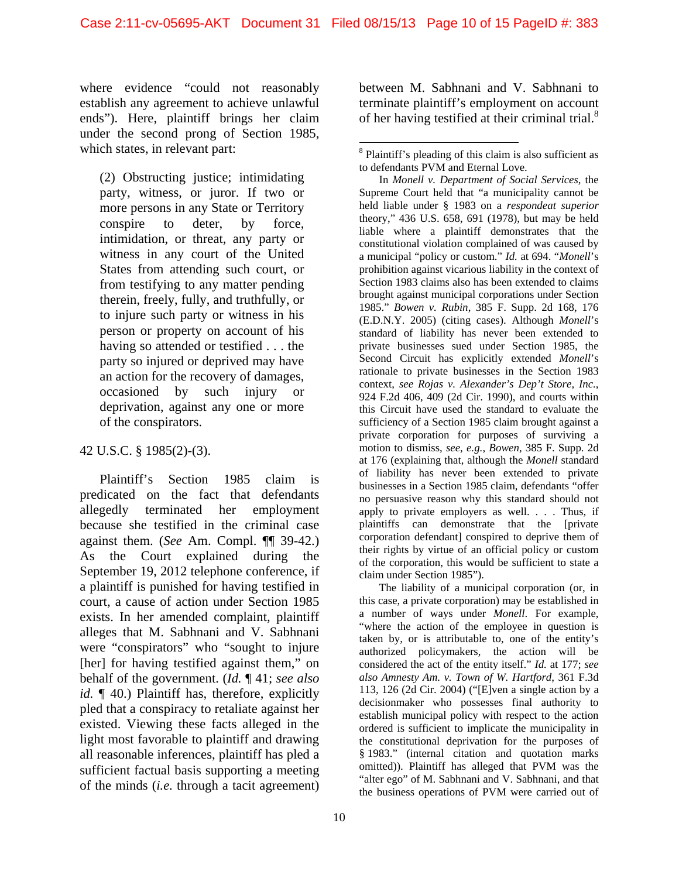where evidence "could not reasonably establish any agreement to achieve unlawful ends"). Here, plaintiff brings her claim under the second prong of Section 1985, which states, in relevant part:

(2) Obstructing justice; intimidating party, witness, or juror. If two or more persons in any State or Territory conspire to deter, by force, intimidation, or threat, any party or witness in any court of the United States from attending such court, or from testifying to any matter pending therein, freely, fully, and truthfully, or to injure such party or witness in his person or property on account of his having so attended or testified . . . the party so injured or deprived may have an action for the recovery of damages, occasioned by such injury or deprivation, against any one or more of the conspirators.

# 42 U.S.C. § 1985(2)-(3).

Plaintiff's Section 1985 claim is predicated on the fact that defendants allegedly terminated her employment because she testified in the criminal case against them. (*See* Am. Compl. ¶¶ 39-42.) As the Court explained during the September 19, 2012 telephone conference, if a plaintiff is punished for having testified in court, a cause of action under Section 1985 exists. In her amended complaint, plaintiff alleges that M. Sabhnani and V. Sabhnani were "conspirators" who "sought to injure [her] for having testified against them," on behalf of the government. (*Id.* ¶ 41; *see also id.*  $\llbracket$  40.) Plaintiff has, therefore, explicitly pled that a conspiracy to retaliate against her existed. Viewing these facts alleged in the light most favorable to plaintiff and drawing all reasonable inferences, plaintiff has pled a sufficient factual basis supporting a meeting of the minds (*i.e.* through a tacit agreement)

between M. Sabhnani and V. Sabhnani to terminate plaintiff's employment on account of her having testified at their criminal trial. $8$ 

In *Monell v. Department of Social Services*, the Supreme Court held that "a municipality cannot be held liable under § 1983 on a *respondeat superior*  theory," 436 U.S. 658, 691 (1978), but may be held liable where a plaintiff demonstrates that the constitutional violation complained of was caused by a municipal "policy or custom." *Id.* at 694. "*Monell*'s prohibition against vicarious liability in the context of Section 1983 claims also has been extended to claims brought against municipal corporations under Section 1985." *Bowen v. Rubin*, 385 F. Supp. 2d 168, 176 (E.D.N.Y. 2005) (citing cases). Although *Monell*'s standard of liability has never been extended to private businesses sued under Section 1985, the Second Circuit has explicitly extended *Monell*'s rationale to private businesses in the Section 1983 context, *see Rojas v. Alexander's Dep't Store, Inc.*, 924 F.2d 406, 409 (2d Cir. 1990), and courts within this Circuit have used the standard to evaluate the sufficiency of a Section 1985 claim brought against a private corporation for purposes of surviving a motion to dismiss, *see*, *e.g.*, *Bowen*, 385 F. Supp. 2d at 176 (explaining that, although the *Monell* standard of liability has never been extended to private businesses in a Section 1985 claim, defendants "offer no persuasive reason why this standard should not apply to private employers as well. . . . Thus, if plaintiffs can demonstrate that the [private corporation defendant] conspired to deprive them of their rights by virtue of an official policy or custom of the corporation, this would be sufficient to state a claim under Section 1985").

The liability of a municipal corporation (or, in this case, a private corporation) may be established in a number of ways under *Monell*. For example, "where the action of the employee in question is taken by, or is attributable to, one of the entity's authorized policymakers, the action will be considered the act of the entity itself." *Id.* at 177; *see also Amnesty Am. v. Town of W. Hartford*, 361 F.3d 113, 126 (2d Cir. 2004) ("[E]ven a single action by a decisionmaker who possesses final authority to establish municipal policy with respect to the action ordered is sufficient to implicate the municipality in the constitutional deprivation for the purposes of § 1983." (internal citation and quotation marks omitted)). Plaintiff has alleged that PVM was the "alter ego" of M. Sabhnani and V. Sabhnani, and that the business operations of PVM were carried out of

 $\overline{a}$ <sup>8</sup> Plaintiff's pleading of this claim is also sufficient as to defendants PVM and Eternal Love.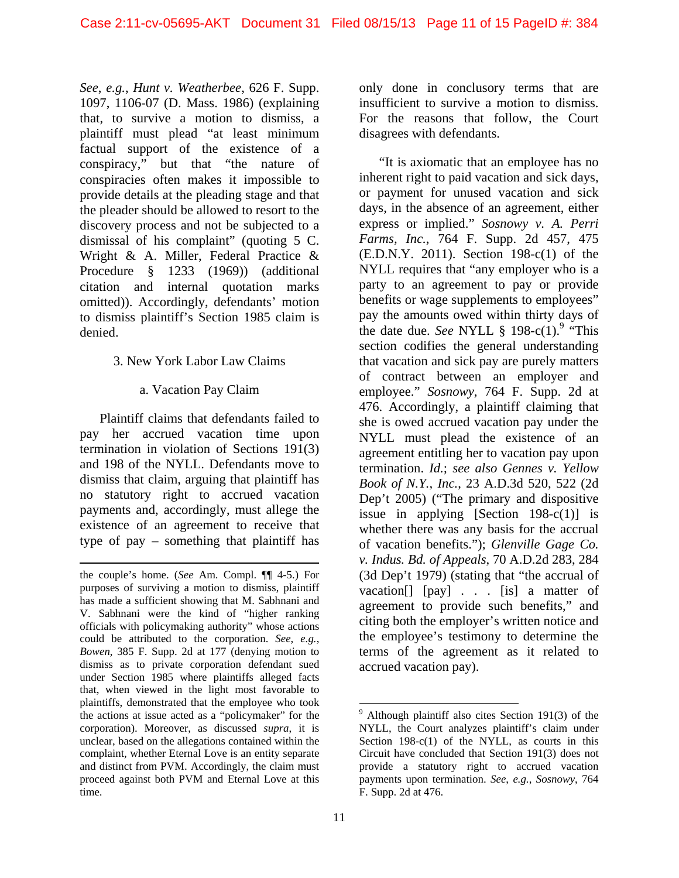*See*, *e.g.*, *Hunt v. Weatherbee*, 626 F. Supp. 1097, 1106-07 (D. Mass. 1986) (explaining that, to survive a motion to dismiss, a plaintiff must plead "at least minimum factual support of the existence of a conspiracy," but that "the nature of conspiracies often makes it impossible to provide details at the pleading stage and that the pleader should be allowed to resort to the discovery process and not be subjected to a dismissal of his complaint" (quoting 5 C. Wright & A. Miller, Federal Practice & Procedure § 1233 (1969)) (additional citation and internal quotation marks omitted)). Accordingly, defendants' motion to dismiss plaintiff's Section 1985 claim is denied.

#### 3. New York Labor Law Claims

# a. Vacation Pay Claim

Plaintiff claims that defendants failed to pay her accrued vacation time upon termination in violation of Sections 191(3) and 198 of the NYLL. Defendants move to dismiss that claim, arguing that plaintiff has no statutory right to accrued vacation payments and, accordingly, must allege the existence of an agreement to receive that type of pay – something that plaintiff has

l

only done in conclusory terms that are insufficient to survive a motion to dismiss. For the reasons that follow, the Court disagrees with defendants.

"It is axiomatic that an employee has no inherent right to paid vacation and sick days, or payment for unused vacation and sick days, in the absence of an agreement, either express or implied." *Sosnowy v. A. Perri Farms, Inc.*, 764 F. Supp. 2d 457, 475 (E.D.N.Y. 2011). Section 198-c(1) of the NYLL requires that "any employer who is a party to an agreement to pay or provide benefits or wage supplements to employees" pay the amounts owed within thirty days of the date due. *See* NYLL  $\S$  198-c(1).<sup>9</sup> "This section codifies the general understanding that vacation and sick pay are purely matters of contract between an employer and employee." *Sosnowy*, 764 F. Supp. 2d at 476. Accordingly, a plaintiff claiming that she is owed accrued vacation pay under the NYLL must plead the existence of an agreement entitling her to vacation pay upon termination. *Id.*; *see also Gennes v. Yellow Book of N.Y., Inc.*, 23 A.D.3d 520, 522 (2d Dep't 2005) ("The primary and dispositive issue in applying [Section 198-c(1)] is whether there was any basis for the accrual of vacation benefits."); *Glenville Gage Co. v. Indus. Bd. of Appeals*, 70 A.D.2d 283, 284 (3d Dep't 1979) (stating that "the accrual of vacation[] [pay] . . . [is] a matter of agreement to provide such benefits," and citing both the employer's written notice and the employee's testimony to determine the terms of the agreement as it related to accrued vacation pay).

the couple's home. (*See* Am. Compl. ¶¶ 4-5.) For purposes of surviving a motion to dismiss, plaintiff has made a sufficient showing that M. Sabhnani and V. Sabhnani were the kind of "higher ranking officials with policymaking authority" whose actions could be attributed to the corporation. *See*, *e.g.*, *Bowen*, 385 F. Supp. 2d at 177 (denying motion to dismiss as to private corporation defendant sued under Section 1985 where plaintiffs alleged facts that, when viewed in the light most favorable to plaintiffs, demonstrated that the employee who took the actions at issue acted as a "policymaker" for the corporation). Moreover, as discussed *supra*, it is unclear, based on the allegations contained within the complaint, whether Eternal Love is an entity separate and distinct from PVM. Accordingly, the claim must proceed against both PVM and Eternal Love at this time.

 $9$  Although plaintiff also cites Section 191(3) of the NYLL, the Court analyzes plaintiff's claim under Section  $198-c(1)$  of the NYLL, as courts in this Circuit have concluded that Section 191(3) does not provide a statutory right to accrued vacation payments upon termination. *See*, *e.g.*, *Sosnowy*, 764 F. Supp. 2d at 476.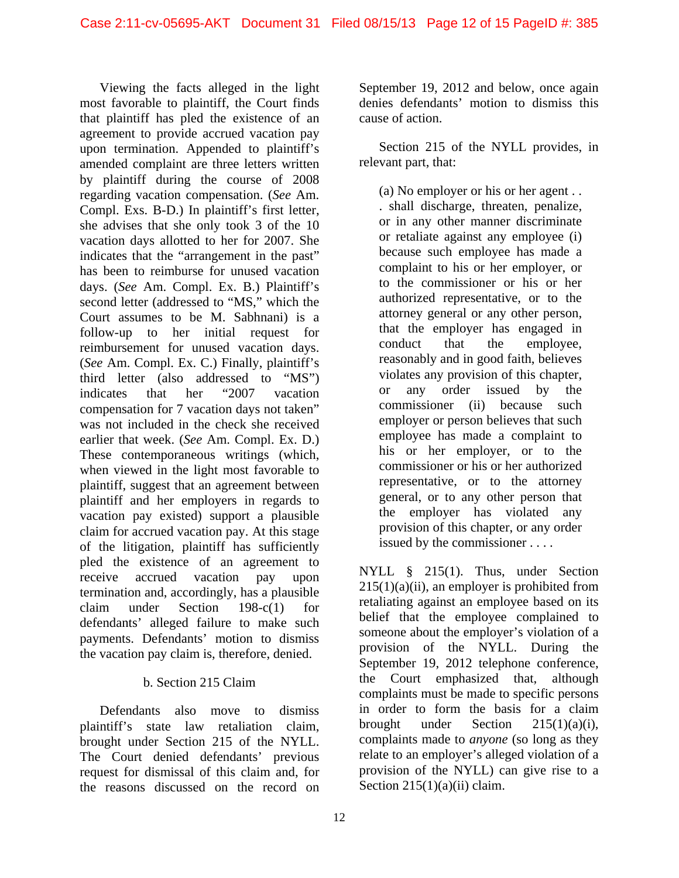Viewing the facts alleged in the light most favorable to plaintiff, the Court finds that plaintiff has pled the existence of an agreement to provide accrued vacation pay upon termination. Appended to plaintiff's amended complaint are three letters written by plaintiff during the course of 2008 regarding vacation compensation. (*See* Am. Compl. Exs. B-D.) In plaintiff's first letter, she advises that she only took 3 of the 10 vacation days allotted to her for 2007. She indicates that the "arrangement in the past" has been to reimburse for unused vacation days. (*See* Am. Compl. Ex. B.) Plaintiff's second letter (addressed to "MS," which the Court assumes to be M. Sabhnani) is a follow-up to her initial request for reimbursement for unused vacation days. (*See* Am. Compl. Ex. C.) Finally, plaintiff's third letter (also addressed to "MS") indicates that her "2007 vacation compensation for 7 vacation days not taken" was not included in the check she received earlier that week. (*See* Am. Compl. Ex. D.) These contemporaneous writings (which, when viewed in the light most favorable to plaintiff, suggest that an agreement between plaintiff and her employers in regards to vacation pay existed) support a plausible claim for accrued vacation pay. At this stage of the litigation, plaintiff has sufficiently pled the existence of an agreement to receive accrued vacation pay upon termination and, accordingly, has a plausible claim under Section 198-c(1) for defendants' alleged failure to make such payments. Defendants' motion to dismiss the vacation pay claim is, therefore, denied.

# b. Section 215 Claim

Defendants also move to dismiss plaintiff's state law retaliation claim, brought under Section 215 of the NYLL. The Court denied defendants' previous request for dismissal of this claim and, for the reasons discussed on the record on

September 19, 2012 and below, once again denies defendants' motion to dismiss this cause of action.

Section 215 of the NYLL provides, in relevant part, that:

(a) No employer or his or her agent . .

. shall discharge, threaten, penalize, or in any other manner discriminate or retaliate against any employee (i) because such employee has made a complaint to his or her employer, or to the commissioner or his or her authorized representative, or to the attorney general or any other person, that the employer has engaged in conduct that the employee, reasonably and in good faith, believes violates any provision of this chapter, or any order issued by the commissioner (ii) because such employer or person believes that such employee has made a complaint to his or her employer, or to the commissioner or his or her authorized representative, or to the attorney general, or to any other person that the employer has violated any provision of this chapter, or any order issued by the commissioner . . . .

NYLL § 215(1). Thus, under Section  $215(1)(a)(ii)$ , an employer is prohibited from retaliating against an employee based on its belief that the employee complained to someone about the employer's violation of a provision of the NYLL. During the September 19, 2012 telephone conference, the Court emphasized that, although complaints must be made to specific persons in order to form the basis for a claim brought under Section  $215(1)(a)(i)$ , complaints made to *anyone* (so long as they relate to an employer's alleged violation of a provision of the NYLL) can give rise to a Section  $215(1)(a)(ii)$  claim.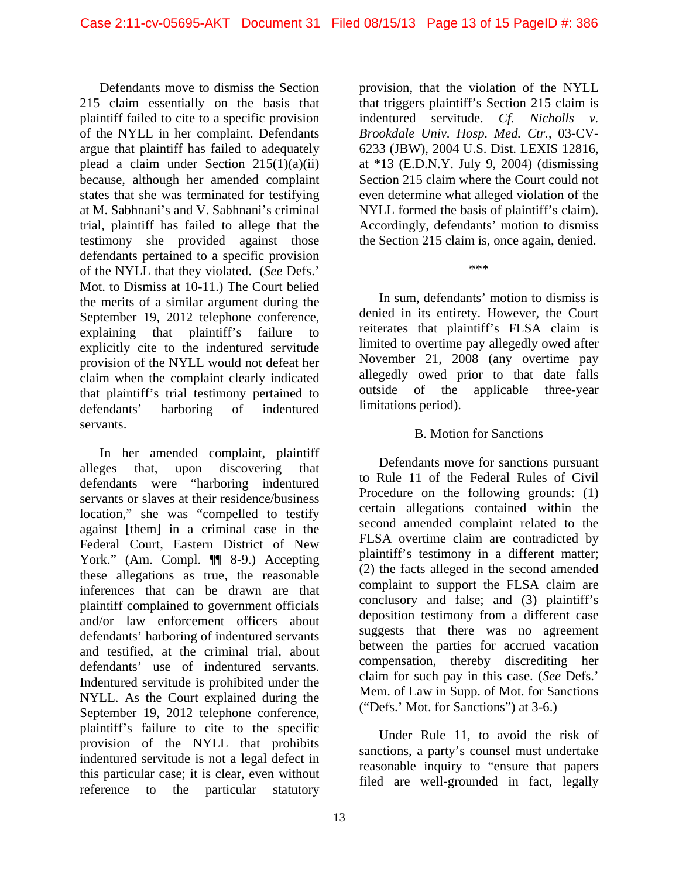Defendants move to dismiss the Section 215 claim essentially on the basis that plaintiff failed to cite to a specific provision of the NYLL in her complaint. Defendants argue that plaintiff has failed to adequately plead a claim under Section  $215(1)(a)(ii)$ because, although her amended complaint states that she was terminated for testifying at M. Sabhnani's and V. Sabhnani's criminal trial, plaintiff has failed to allege that the testimony she provided against those defendants pertained to a specific provision of the NYLL that they violated. (*See* Defs.' Mot. to Dismiss at 10-11.) The Court belied the merits of a similar argument during the September 19, 2012 telephone conference, explaining that plaintiff's failure to explicitly cite to the indentured servitude provision of the NYLL would not defeat her claim when the complaint clearly indicated that plaintiff's trial testimony pertained to defendants' harboring of indentured servants.

In her amended complaint, plaintiff alleges that, upon discovering that defendants were "harboring indentured servants or slaves at their residence/business location," she was "compelled to testify against [them] in a criminal case in the Federal Court, Eastern District of New York." (Am. Compl. ¶ 8-9.) Accepting these allegations as true, the reasonable inferences that can be drawn are that plaintiff complained to government officials and/or law enforcement officers about defendants' harboring of indentured servants and testified, at the criminal trial, about defendants' use of indentured servants. Indentured servitude is prohibited under the NYLL. As the Court explained during the September 19, 2012 telephone conference, plaintiff's failure to cite to the specific provision of the NYLL that prohibits indentured servitude is not a legal defect in this particular case; it is clear, even without reference to the particular statutory

provision, that the violation of the NYLL that triggers plaintiff's Section 215 claim is indentured servitude. *Cf. Nicholls v. Brookdale Univ. Hosp. Med. Ctr.*, 03-CV-6233 (JBW), 2004 U.S. Dist. LEXIS 12816, at \*13 (E.D.N.Y. July 9, 2004) (dismissing Section 215 claim where the Court could not even determine what alleged violation of the NYLL formed the basis of plaintiff's claim). Accordingly, defendants' motion to dismiss the Section 215 claim is, once again, denied.

\*\*\*

In sum, defendants' motion to dismiss is denied in its entirety. However, the Court reiterates that plaintiff's FLSA claim is limited to overtime pay allegedly owed after November 21, 2008 (any overtime pay allegedly owed prior to that date falls outside of the applicable three-year limitations period).

#### B. Motion for Sanctions

Defendants move for sanctions pursuant to Rule 11 of the Federal Rules of Civil Procedure on the following grounds: (1) certain allegations contained within the second amended complaint related to the FLSA overtime claim are contradicted by plaintiff's testimony in a different matter; (2) the facts alleged in the second amended complaint to support the FLSA claim are conclusory and false; and (3) plaintiff's deposition testimony from a different case suggests that there was no agreement between the parties for accrued vacation compensation, thereby discrediting her claim for such pay in this case. (*See* Defs.' Mem. of Law in Supp. of Mot. for Sanctions ("Defs.' Mot. for Sanctions") at 3-6.)

Under Rule 11, to avoid the risk of sanctions, a party's counsel must undertake reasonable inquiry to "ensure that papers filed are well-grounded in fact, legally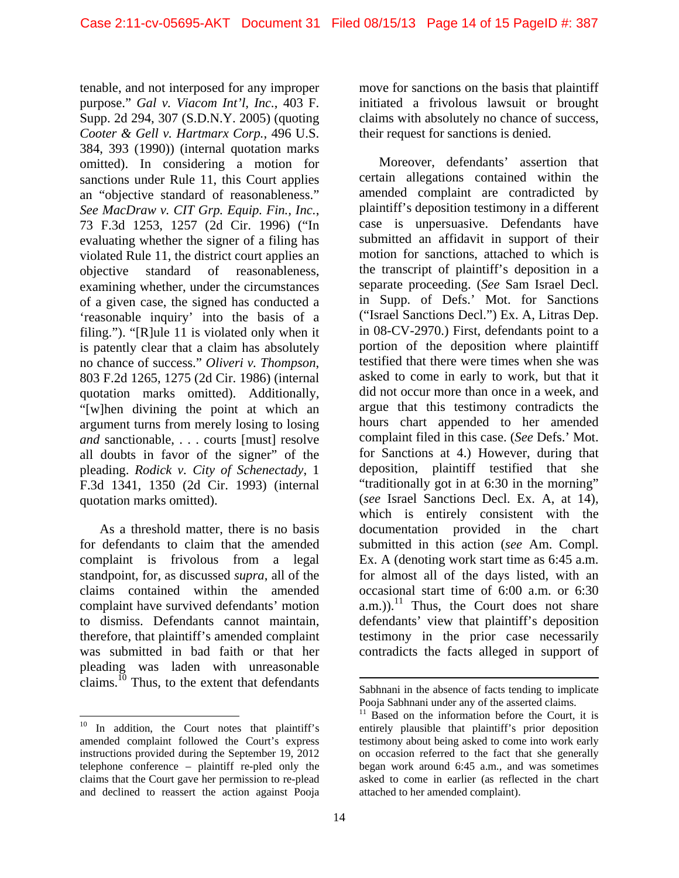tenable, and not interposed for any improper purpose." *Gal v. Viacom Int'l, Inc.*, 403 F. Supp. 2d 294, 307 (S.D.N.Y. 2005) (quoting *Cooter & Gell v. Hartmarx Corp.*, 496 U.S. 384, 393 (1990)) (internal quotation marks omitted). In considering a motion for sanctions under Rule 11, this Court applies an "objective standard of reasonableness." *See MacDraw v. CIT Grp. Equip. Fin., Inc.*, 73 F.3d 1253, 1257 (2d Cir. 1996) ("In evaluating whether the signer of a filing has violated Rule 11, the district court applies an objective standard of reasonableness, examining whether, under the circumstances of a given case, the signed has conducted a 'reasonable inquiry' into the basis of a filing."). "[R]ule 11 is violated only when it is patently clear that a claim has absolutely no chance of success." *Oliveri v. Thompson*, 803 F.2d 1265, 1275 (2d Cir. 1986) (internal quotation marks omitted). Additionally, "[w]hen divining the point at which an argument turns from merely losing to losing *and* sanctionable, . . . courts [must] resolve all doubts in favor of the signer" of the pleading. *Rodick v. City of Schenectady*, 1 F.3d 1341, 1350 (2d Cir. 1993) (internal quotation marks omitted).

As a threshold matter, there is no basis for defendants to claim that the amended complaint is frivolous from a legal standpoint, for, as discussed *supra*, all of the claims contained within the amended complaint have survived defendants' motion to dismiss. Defendants cannot maintain, therefore, that plaintiff's amended complaint was submitted in bad faith or that her pleading was laden with unreasonable claims.<sup>10</sup> Thus, to the extent that defendants

l

move for sanctions on the basis that plaintiff initiated a frivolous lawsuit or brought claims with absolutely no chance of success, their request for sanctions is denied.

Moreover, defendants' assertion that certain allegations contained within the amended complaint are contradicted by plaintiff's deposition testimony in a different case is unpersuasive. Defendants have submitted an affidavit in support of their motion for sanctions, attached to which is the transcript of plaintiff's deposition in a separate proceeding. (*See* Sam Israel Decl. in Supp. of Defs.' Mot. for Sanctions ("Israel Sanctions Decl.") Ex. A, Litras Dep. in 08-CV-2970.) First, defendants point to a portion of the deposition where plaintiff testified that there were times when she was asked to come in early to work, but that it did not occur more than once in a week, and argue that this testimony contradicts the hours chart appended to her amended complaint filed in this case. (*See* Defs.' Mot. for Sanctions at 4.) However, during that deposition, plaintiff testified that she "traditionally got in at 6:30 in the morning" (*see* Israel Sanctions Decl. Ex. A, at 14), which is entirely consistent with the documentation provided in the chart submitted in this action (*see* Am. Compl. Ex. A (denoting work start time as 6:45 a.m. for almost all of the days listed, with an occasional start time of 6:00 a.m. or 6:30  $(a.m.))$ .<sup>11</sup> Thus, the Court does not share defendants' view that plaintiff's deposition testimony in the prior case necessarily contradicts the facts alleged in support of

<sup>&</sup>lt;sup>10</sup> In addition, the Court notes that plaintiff's amended complaint followed the Court's express instructions provided during the September 19, 2012 telephone conference – plaintiff re-pled only the claims that the Court gave her permission to re-plead and declined to reassert the action against Pooja

l Sabhnani in the absence of facts tending to implicate Pooja Sabhnani under any of the asserted claims.

 $11$  Based on the information before the Court, it is entirely plausible that plaintiff's prior deposition testimony about being asked to come into work early on occasion referred to the fact that she generally began work around 6:45 a.m., and was sometimes asked to come in earlier (as reflected in the chart attached to her amended complaint).